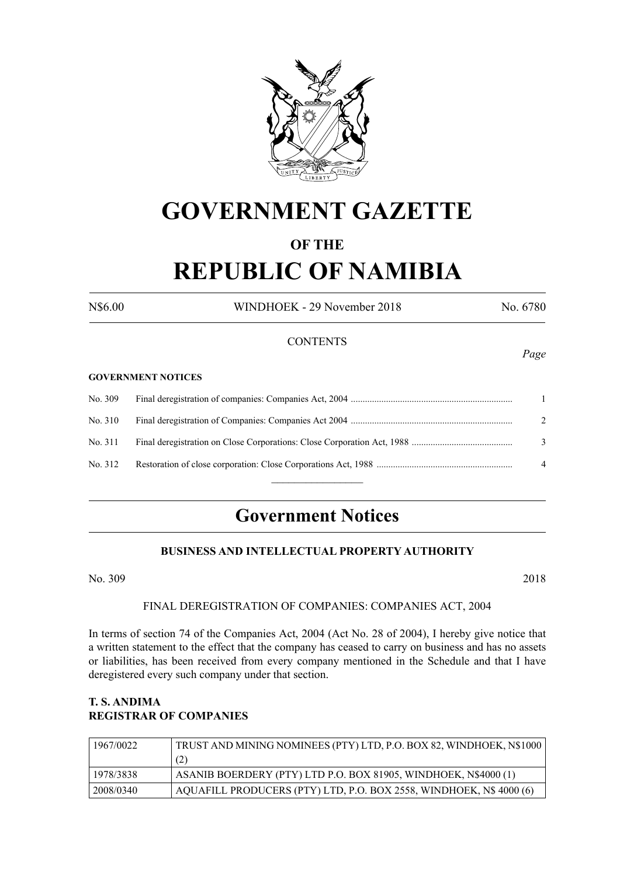

# **GOVERNMENT GAZETTE**

# **OF THE**

# **REPUBLIC OF NAMIBIA**

N\$6.00 WINDHOEK - 29 November 2018 No. 6780

### **CONTENTS**

#### **GOVERNMENT NOTICES**

| No. 309 |                |
|---------|----------------|
| No. 310 | $\mathcal{L}$  |
| No. 311 | 3              |
| No. 312 | $\overline{4}$ |
|         |                |

# **Government Notices**

### **BUSINESS AND INTELLECTUAL PROPERTY AUTHORITY**

No. 309 2018

#### FINAL DEREGISTRATION OF COMPANIES: COMPANIES ACT, 2004

In terms of section 74 of the Companies Act, 2004 (Act No. 28 of 2004), I hereby give notice that a written statement to the effect that the company has ceased to carry on business and has no assets or liabilities, has been received from every company mentioned in the Schedule and that I have deregistered every such company under that section.

# **T. S. ANDIMA REGISTRAR OF COMPANIES**

| 1967/0022 | TRUST AND MINING NOMINEES (PTY) LTD, P.O. BOX 82, WINDHOEK, N\$1000 |
|-----------|---------------------------------------------------------------------|
|           | (2)                                                                 |
| 1978/3838 | ASANIB BOERDERY (PTY) LTD P.O. BOX 81905, WINDHOEK, N\$4000 (1)     |
| 2008/0340 | AQUAFILL PRODUCERS (PTY) LTD, P.O. BOX 2558, WINDHOEK, N\$ 4000 (6) |

*Page*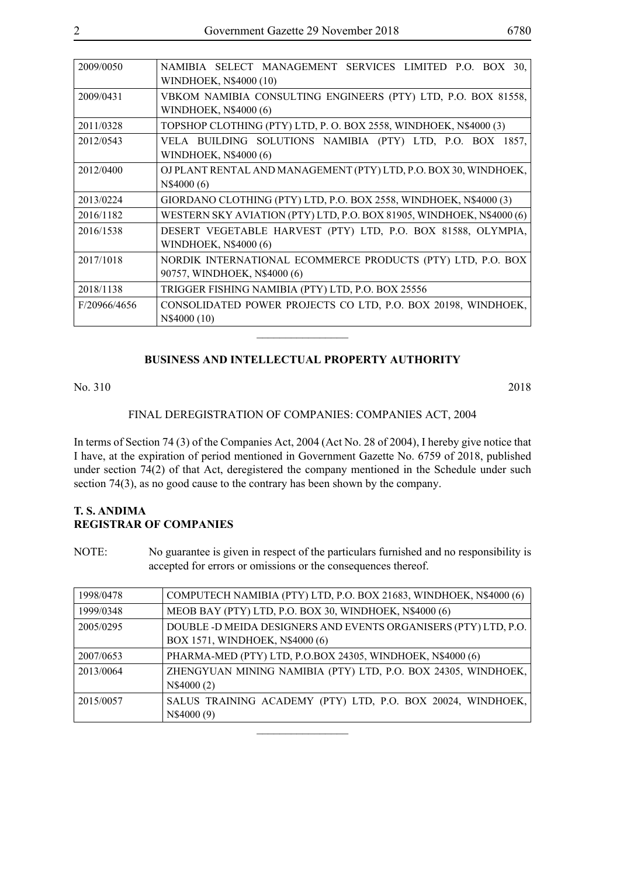| 2009/0050    | NAMIBIA SELECT MANAGEMENT SERVICES LIMITED P.O. BOX 30,<br>WINDHOEK, N\$4000 (10)           |
|--------------|---------------------------------------------------------------------------------------------|
| 2009/0431    | VBKOM NAMIBIA CONSULTING ENGINEERS (PTY) LTD, P.O. BOX 81558,<br>WINDHOEK, N\$4000 (6)      |
| 2011/0328    | TOPSHOP CLOTHING (PTY) LTD, P. O. BOX 2558, WINDHOEK, N\$4000 (3)                           |
| 2012/0543    | VELA BUILDING SOLUTIONS NAMIBIA (PTY) LTD, P.O. BOX 1857,<br><b>WINDHOEK, N\$4000 (6)</b>   |
| 2012/0400    | OJ PLANT RENTAL AND MANAGEMENT (PTY) LTD, P.O. BOX 30, WINDHOEK,<br>N\$4000(6)              |
| 2013/0224    | GIORDANO CLOTHING (PTY) LTD, P.O. BOX 2558, WINDHOEK, N\$4000 (3)                           |
| 2016/1182    | WESTERN SKY AVIATION (PTY) LTD, P.O. BOX 81905, WINDHOEK, N\$4000 (6)                       |
| 2016/1538    | DESERT VEGETABLE HARVEST (PTY) LTD, P.O. BOX 81588, OLYMPIA,<br>WINDHOEK, N\$4000 (6)       |
| 2017/1018    | NORDIK INTERNATIONAL ECOMMERCE PRODUCTS (PTY) LTD, P.O. BOX<br>90757, WINDHOEK, N\$4000 (6) |
| 2018/1138    | TRIGGER FISHING NAMIBIA (PTY) LTD, P.O. BOX 25556                                           |
| F/20966/4656 | CONSOLIDATED POWER PROJECTS CO LTD, P.O. BOX 20198, WINDHOEK,<br>N\$4000 (10)               |
|              |                                                                                             |

## **BUSINESS AND INTELLECTUAL PROPERTY AUTHORITY**

No. 310 2018

#### FINAL DEREGISTRATION OF COMPANIES: COMPANIES ACT, 2004

In terms of Section 74 (3) of the Companies Act, 2004 (Act No. 28 of 2004), I hereby give notice that I have, at the expiration of period mentioned in Government Gazette No. 6759 of 2018, published under section 74(2) of that Act, deregistered the company mentioned in the Schedule under such section 74(3), as no good cause to the contrary has been shown by the company.

### **T. S. ANDIMA REGISTRAR OF COMPANIES**

NOTE: No guarantee is given in respect of the particulars furnished and no responsibility is accepted for errors or omissions or the consequences thereof.

| 1998/0478 | COMPUTECH NAMIBIA (PTY) LTD, P.O. BOX 21683, WINDHOEK, N\$4000 (6) |
|-----------|--------------------------------------------------------------------|
| 1999/0348 | MEOB BAY (PTY) LTD, P.O. BOX 30, WINDHOEK, N\$4000 (6)             |
| 2005/0295 | DOUBLE -D MEIDA DESIGNERS AND EVENTS ORGANISERS (PTY) LTD, P.O.    |
|           | BOX 1571, WINDHOEK, N\$4000 (6)                                    |
| 2007/0653 | PHARMA-MED (PTY) LTD, P.O.BOX 24305, WINDHOEK, N\$4000 (6)         |
| 2013/0064 | ZHENGYUAN MINING NAMIBIA (PTY) LTD, P.O. BOX 24305, WINDHOEK,      |
|           | N\$4000 (2)                                                        |
| 2015/0057 | SALUS TRAINING ACADEMY (PTY) LTD, P.O. BOX 20024, WINDHOEK,        |
|           | N\$4000 (9)                                                        |
|           |                                                                    |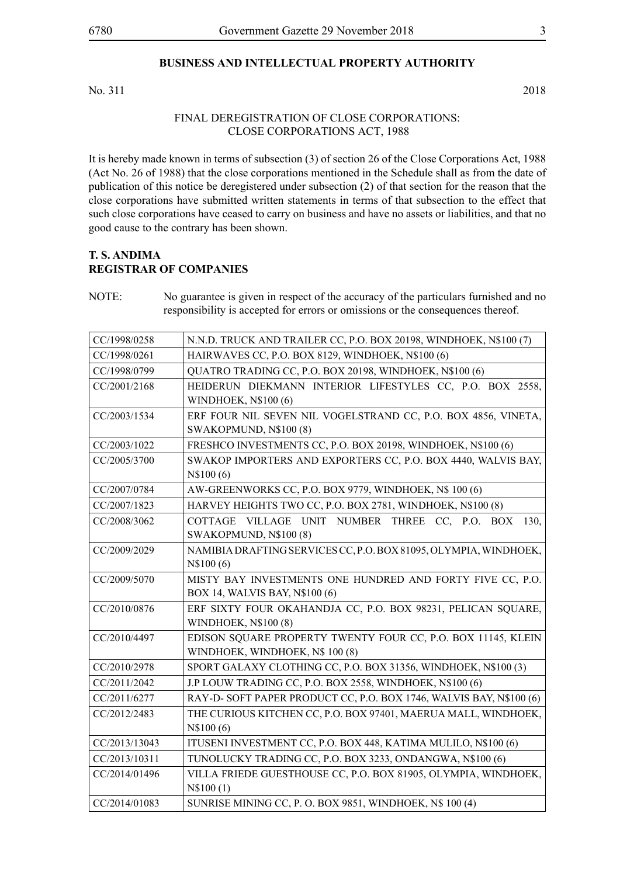### **BUSINESS AND INTELLECTUAL PROPERTY AUTHORITY**

No. 311 2018

#### FINAL DEREGISTRATION OF CLOSE CORPORATIONS: CLOSE CORPORATIONS ACT, 1988

It is hereby made known in terms of subsection (3) of section 26 of the Close Corporations Act, 1988 (Act No. 26 of 1988) that the close corporations mentioned in the Schedule shall as from the date of publication of this notice be deregistered under subsection (2) of that section for the reason that the close corporations have submitted written statements in terms of that subsection to the effect that such close corporations have ceased to carry on business and have no assets or liabilities, and that no good cause to the contrary has been shown.

#### **T. S. ANDIMA REGISTRAR OF COMPANIES**

NOTE: No guarantee is given in respect of the accuracy of the particulars furnished and no responsibility is accepted for errors or omissions or the consequences thereof.

| CC/1998/0258  | N.N.D. TRUCK AND TRAILER CC, P.O. BOX 20198, WINDHOEK, N\$100 (7)   |
|---------------|---------------------------------------------------------------------|
| CC/1998/0261  | HAIRWAVES CC, P.O. BOX 8129, WINDHOEK, N\$100 (6)                   |
| CC/1998/0799  | QUATRO TRADING CC, P.O. BOX 20198, WINDHOEK, N\$100 (6)             |
| CC/2001/2168  | HEIDERUN DIEKMANN INTERIOR LIFESTYLES CC, P.O. BOX 2558,            |
|               | <b>WINDHOEK, N\$100 (6)</b>                                         |
| CC/2003/1534  | ERF FOUR NIL SEVEN NIL VOGELSTRAND CC, P.O. BOX 4856, VINETA,       |
|               | SWAKOPMUND, N\$100 (8)                                              |
| CC/2003/1022  | FRESHCO INVESTMENTS CC, P.O. BOX 20198, WINDHOEK, N\$100 (6)        |
| CC/2005/3700  | SWAKOP IMPORTERS AND EXPORTERS CC, P.O. BOX 4440, WALVIS BAY,       |
|               | N\\$100(6)                                                          |
| CC/2007/0784  | AW-GREENWORKS CC, P.O. BOX 9779, WINDHOEK, N\$ 100 (6)              |
| CC/2007/1823  | HARVEY HEIGHTS TWO CC, P.O. BOX 2781, WINDHOEK, N\$100 (8)          |
| CC/2008/3062  | COTTAGE VILLAGE UNIT NUMBER THREE CC, P.O. BOX<br>130,              |
|               | SWAKOPMUND, N\$100 (8)                                              |
| CC/2009/2029  | NAMIBIA DRAFTING SERVICES CC, P.O. BOX 81095, OLYMPIA, WINDHOEK,    |
|               | N\\$100 (6)                                                         |
| CC/2009/5070  | MISTY BAY INVESTMENTS ONE HUNDRED AND FORTY FIVE CC, P.O.           |
|               | BOX 14, WALVIS BAY, N\$100 (6)                                      |
| CC/2010/0876  | ERF SIXTY FOUR OKAHANDJA CC, P.O. BOX 98231, PELICAN SQUARE,        |
|               | <b>WINDHOEK, N\$100 (8)</b>                                         |
| CC/2010/4497  | EDISON SQUARE PROPERTY TWENTY FOUR CC, P.O. BOX 11145, KLEIN        |
|               | WINDHOEK, WINDHOEK, N\$ 100 (8)                                     |
| CC/2010/2978  | SPORT GALAXY CLOTHING CC, P.O. BOX 31356, WINDHOEK, N\$100 (3)      |
| CC/2011/2042  | J.P LOUW TRADING CC, P.O. BOX 2558, WINDHOEK, N\$100 (6)            |
| CC/2011/6277  | RAY-D- SOFT PAPER PRODUCT CC, P.O. BOX 1746, WALVIS BAY, N\$100 (6) |
| CC/2012/2483  | THE CURIOUS KITCHEN CC, P.O. BOX 97401, MAERUA MALL, WINDHOEK,      |
|               | N\$100(6)                                                           |
| CC/2013/13043 | ITUSENI INVESTMENT CC, P.O. BOX 448, KATIMA MULILO, N\$100 (6)      |
| CC/2013/10311 | TUNOLUCKY TRADING CC, P.O. BOX 3233, ONDANGWA, N\$100 (6)           |
| CC/2014/01496 | VILLA FRIEDE GUESTHOUSE CC, P.O. BOX 81905, OLYMPIA, WINDHOEK,      |
|               | N\$100(1)                                                           |
| CC/2014/01083 | SUNRISE MINING CC, P. O. BOX 9851, WINDHOEK, N\$ 100 (4)            |
|               |                                                                     |